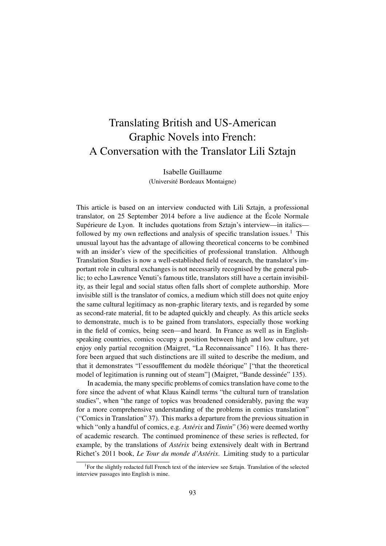# Translating British and US-American Graphic Novels into French: A Conversation with the Translator Lili Sztajn

Isabelle Guillaume (Université Bordeaux Montaigne)

This article is based on an interview conducted with Lili Sztajn, a professional translator, on 25 September 2014 before a live audience at the École Normale Supérieure de Lyon. It includes quotations from Sztajn's interview—in italics followed by my own reflections and analysis of specific translation issues.<sup>1</sup> This unusual layout has the advantage of allowing theoretical concerns to be combined with an insider's view of the specificities of professional translation. Although Translation Studies is now a well-established field of research, the translator's important role in cultural exchanges is not necessarily recognised by the general public; to echo Lawrence Venuti's famous title, translators still have a certain invisibility, as their legal and social status often falls short of complete authorship. More invisible still is the translator of comics, a medium which still does not quite enjoy the same cultural legitimacy as non-graphic literary texts, and is regarded by some as second-rate material, fit to be adapted quickly and cheaply. As this article seeks to demonstrate, much is to be gained from translators, especially those working in the field of comics, being seen—and heard. In France as well as in Englishspeaking countries, comics occupy a position between high and low culture, yet enjoy only partial recognition (Maigret, "La Reconnaissance" 116). It has therefore been argued that such distinctions are ill suited to describe the medium, and that it demonstrates "l'essoufflement du modèle théorique" ["that the theoretical model of legitimation is running out of steam"] (Maigret, "Bande dessinée" 135).

In academia, the many specific problems of comics translation have come to the fore since the advent of what Klaus Kaindl terms "the cultural turn of translation studies", when "the range of topics was broadened considerably, paving the way for a more comprehensive understanding of the problems in comics translation" ("Comics in Translation" 37). This marks a departure from the previous situation in which "only a handful of comics, e.g. *Astérix* and *Tintin*" (36) were deemed worthy of academic research. The continued prominence of these series is reflected, for example, by the translations of *Astérix* being extensively dealt with in Bertrand Richet's 2011 book, *Le Tour du monde d'Astérix*. Limiting study to a particular

<sup>&</sup>lt;sup>1</sup>For the slightly redacted full French text of the interview see Sztajn. Translation of the selected interview passages into English is mine.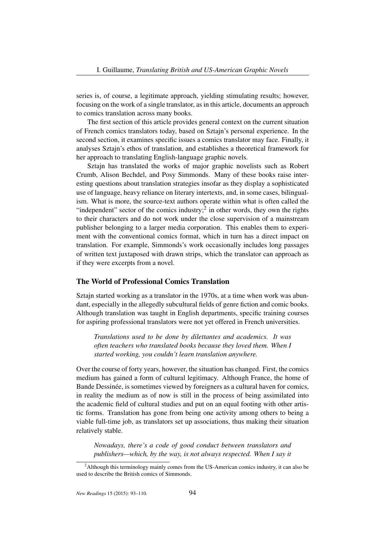series is, of course, a legitimate approach, yielding stimulating results; however, focusing on the work of a single translator, as in this article, documents an approach to comics translation across many books.

The first section of this article provides general context on the current situation of French comics translators today, based on Sztajn's personal experience. In the second section, it examines specific issues a comics translator may face. Finally, it analyses Sztajn's ethos of translation, and establishes a theoretical framework for her approach to translating English-language graphic novels.

Sztajn has translated the works of major graphic novelists such as Robert Crumb, Alison Bechdel, and Posy Simmonds. Many of these books raise interesting questions about translation strategies insofar as they display a sophisticated use of language, heavy reliance on literary intertexts, and, in some cases, bilingualism. What is more, the source-text authors operate within what is often called the "independent" sector of the comics industry;<sup>2</sup> in other words, they own the rights to their characters and do not work under the close supervision of a mainstream publisher belonging to a larger media corporation. This enables them to experiment with the conventional comics format, which in turn has a direct impact on translation. For example, Simmonds's work occasionally includes long passages of written text juxtaposed with drawn strips, which the translator can approach as if they were excerpts from a novel.

## The World of Professional Comics Translation

Sztajn started working as a translator in the 1970s, at a time when work was abundant, especially in the allegedly subcultural fields of genre fiction and comic books. Although translation was taught in English departments, specific training courses for aspiring professional translators were not yet offered in French universities.

*Translations used to be done by dilettantes and academics. It was often teachers who translated books because they loved them. When I started working, you couldn't learn translation anywhere.*

Over the course of forty years, however, the situation has changed. First, the comics medium has gained a form of cultural legitimacy. Although France, the home of Bande Dessinée, is sometimes viewed by foreigners as a cultural haven for comics, in reality the medium as of now is still in the process of being assimilated into the academic field of cultural studies and put on an equal footing with other artistic forms. Translation has gone from being one activity among others to being a viable full-time job, as translators set up associations, thus making their situation relatively stable.

*Nowadays, there's a code of good conduct between translators and publishers—which, by the way, is not always respected. When I say it*

<sup>&</sup>lt;sup>2</sup>Although this terminology mainly comes from the US-American comics industry, it can also be used to describe the British comics of Simmonds.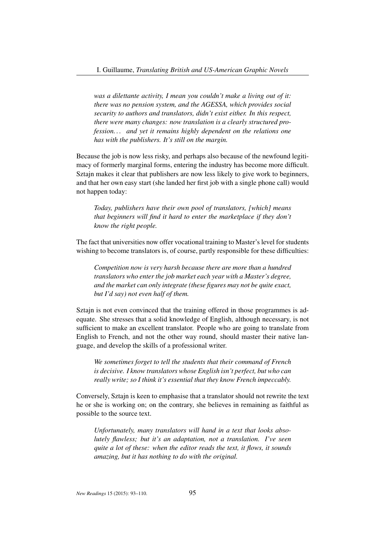*was a dilettante activity, I mean you couldn't make a living out of it: there was no pension system, and the AGESSA, which provides social security to authors and translators, didn't exist either. In this respect, there were many changes: now translation is a clearly structured profession. . . and yet it remains highly dependent on the relations one has with the publishers. It's still on the margin.*

Because the job is now less risky, and perhaps also because of the newfound legitimacy of formerly marginal forms, entering the industry has become more difficult. Sztajn makes it clear that publishers are now less likely to give work to beginners, and that her own easy start (she landed her first job with a single phone call) would not happen today:

*Today, publishers have their own pool of translators, [which] means that beginners will find it hard to enter the marketplace if they don't know the right people.*

The fact that universities now offer vocational training to Master's level for students wishing to become translators is, of course, partly responsible for these difficulties:

*Competition now is very harsh because there are more than a hundred translators who enter the job market each year with a Master's degree, and the market can only integrate (these figures may not be quite exact, but I'd say) not even half of them.*

Sztajn is not even convinced that the training offered in those programmes is adequate. She stresses that a solid knowledge of English, although necessary, is not sufficient to make an excellent translator. People who are going to translate from English to French, and not the other way round, should master their native language, and develop the skills of a professional writer.

*We sometimes forget to tell the students that their command of French is decisive. I know translators whose English isn't perfect, but who can really write; so I think it's essential that they know French impeccably.*

Conversely, Sztajn is keen to emphasise that a translator should not rewrite the text he or she is working on; on the contrary, she believes in remaining as faithful as possible to the source text.

*Unfortunately, many translators will hand in a text that looks absolutely flawless; but it's an adaptation, not a translation. I've seen quite a lot of these: when the editor reads the text, it flows, it sounds amazing, but it has nothing to do with the original.*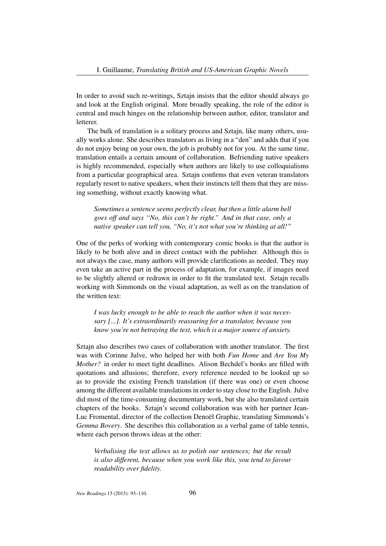In order to avoid such re-writings, Sztajn insists that the editor should always go and look at the English original. More broadly speaking, the role of the editor is central and much hinges on the relationship between author, editor, translator and letterer.

The bulk of translation is a solitary process and Sztajn, like many others, usually works alone. She describes translators as living in a "den" and adds that if you do not enjoy being on your own, the job is probably not for you. At the same time, translation entails a certain amount of collaboration. Befriending native speakers is highly recommended, especially when authors are likely to use colloquialisms from a particular geographical area. Sztajn confirms that even veteran translators regularly resort to native speakers, when their instincts tell them that they are missing something, without exactly knowing what.

*Sometimes a sentence seems perfectly clear, but then a little alarm bell goes off and says "No, this can't be right." And in that case, only a native speaker can tell you, "No, it's not what you're thinking at all!"*

One of the perks of working with contemporary comic books is that the author is likely to be both alive and in direct contact with the publisher. Although this is not always the case, many authors will provide clarifications as needed. They may even take an active part in the process of adaptation, for example, if images need to be slightly altered or redrawn in order to fit the translated text. Sztajn recalls working with Simmonds on the visual adaptation, as well as on the translation of the written text:

*I was lucky enough to be able to reach the author when it was necessary [...]. It's extraordinarily reassuring for a translator, because you know you're not betraying the text, which is a major source of anxiety.*

Sztajn also describes two cases of collaboration with another translator. The first was with Corinne Julve, who helped her with both *Fun Home* and *Are You My Mother?* in order to meet tight deadlines. Alison Bechdel's books are filled with quotations and allusions; therefore, every reference needed to be looked up so as to provide the existing French translation (if there was one) or even choose among the different available translations in order to stay close to the English. Julve did most of the time-consuming documentary work, but she also translated certain chapters of the books. Sztajn's second collaboration was with her partner Jean-Luc Fromental, director of the collection Denoël Graphic, translating Simmonds's *Gemma Bovery*. She describes this collaboration as a verbal game of table tennis, where each person throws ideas at the other:

*Verbalising the text allows us to polish our sentences; but the result is also different, because when you work like this, you tend to favour readability over fidelity.*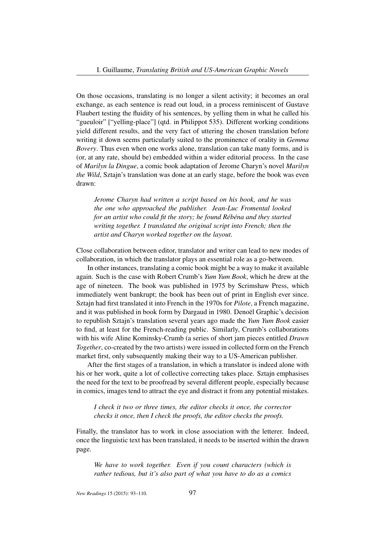On those occasions, translating is no longer a silent activity; it becomes an oral exchange, as each sentence is read out loud, in a process reminiscent of Gustave Flaubert testing the fluidity of his sentences, by yelling them in what he called his "gueuloir" ["yelling-place"] (qtd. in Philippot 535). Different working conditions yield different results, and the very fact of uttering the chosen translation before writing it down seems particularly suited to the prominence of orality in *Gemma Bovery*. Thus even when one works alone, translation can take many forms, and is (or, at any rate, should be) embedded within a wider editorial process. In the case of *Marilyn la Dingue*, a comic book adaptation of Jerome Charyn's novel *Marilyn the Wild*, Sztajn's translation was done at an early stage, before the book was even drawn:

*Jerome Charyn had written a script based on his book, and he was the one who approached the publisher. Jean-Luc Fromental looked for an artist who could fit the story; he found Rébéna and they started writing together. I translated the original script into French; then the artist and Charyn worked together on the layout.*

Close collaboration between editor, translator and writer can lead to new modes of collaboration, in which the translator plays an essential role as a go-between.

In other instances, translating a comic book might be a way to make it available again. Such is the case with Robert Crumb's *Yum Yum Book*, which he drew at the age of nineteen. The book was published in 1975 by Scrimshaw Press, which immediately went bankrupt; the book has been out of print in English ever since. Sztajn had first translated it into French in the 1970s for *Pilote*, a French magazine, and it was published in book form by Dargaud in 1980. Denoël Graphic's decision to republish Sztajn's translation several years ago made the *Yum Yum Book* easier to find, at least for the French-reading public. Similarly, Crumb's collaborations with his wife Aline Kominsky-Crumb (a series of short jam pieces entitled *Drawn Together*, co-created by the two artists) were issued in collected form on the French market first, only subsequently making their way to a US-American publisher.

After the first stages of a translation, in which a translator is indeed alone with his or her work, quite a lot of collective correcting takes place. Sztajn emphasises the need for the text to be proofread by several different people, especially because in comics, images tend to attract the eye and distract it from any potential mistakes.

*I check it two or three times, the editor checks it once, the corrector checks it once, then I check the proofs, the editor checks the proofs.*

Finally, the translator has to work in close association with the letterer. Indeed, once the linguistic text has been translated, it needs to be inserted within the drawn page.

*We have to work together. Even if you count characters (which is rather tedious, but it's also part of what you have to do as a comics*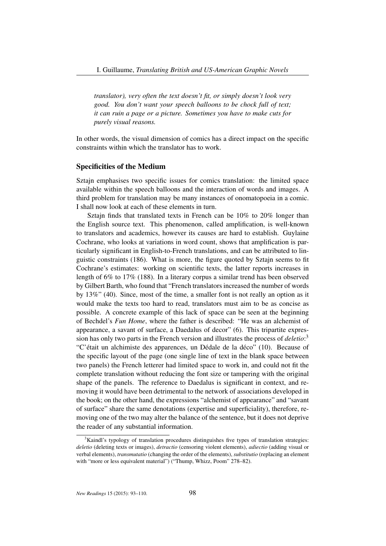*translator), very often the text doesn't fit, or simply doesn't look very good. You don't want your speech balloons to be chock full of text; it can ruin a page or a picture. Sometimes you have to make cuts for purely visual reasons.*

In other words, the visual dimension of comics has a direct impact on the specific constraints within which the translator has to work.

# Specificities of the Medium

Sztajn emphasises two specific issues for comics translation: the limited space available within the speech balloons and the interaction of words and images. A third problem for translation may be many instances of onomatopoeia in a comic. I shall now look at each of these elements in turn.

Sztajn finds that translated texts in French can be 10% to 20% longer than the English source text. This phenomenon, called amplification, is well-known to translators and academics, however its causes are hard to establish. Guylaine Cochrane, who looks at variations in word count, shows that amplification is particularly significant in English-to-French translations, and can be attributed to linguistic constraints (186). What is more, the figure quoted by Sztajn seems to fit Cochrane's estimates: working on scientific texts, the latter reports increases in length of 6% to 17% (188). In a literary corpus a similar trend has been observed by Gilbert Barth, who found that "French translators increased the number of words by 13%" (40). Since, most of the time, a smaller font is not really an option as it would make the texts too hard to read, translators must aim to be as concise as possible. A concrete example of this lack of space can be seen at the beginning of Bechdel's *Fun Home*, where the father is described: "He was an alchemist of appearance, a savant of surface, a Daedalus of decor" (6). This tripartite expression has only two parts in the French version and illustrates the process of *deletio*: 3 "C'était un alchimiste des apparences, un Dédale de la déco" (10). Because of the specific layout of the page (one single line of text in the blank space between two panels) the French letterer had limited space to work in, and could not fit the complete translation without reducing the font size or tampering with the original shape of the panels. The reference to Daedalus is significant in context, and removing it would have been detrimental to the network of associations developed in the book; on the other hand, the expressions "alchemist of appearance" and "savant of surface" share the same denotations (expertise and superficiality), therefore, removing one of the two may alter the balance of the sentence, but it does not deprive the reader of any substantial information.

<sup>&</sup>lt;sup>3</sup>Kaindl's typology of translation procedures distinguishes five types of translation strategies: *deletio* (deleting texts or images), *detractio* (censoring violent elements), *adiectio* (adding visual or verbal elements), *transmutatio* (changing the order of the elements), *substitutio* (replacing an element with "more or less equivalent material") ("Thump, Whizz, Poom" 278–82).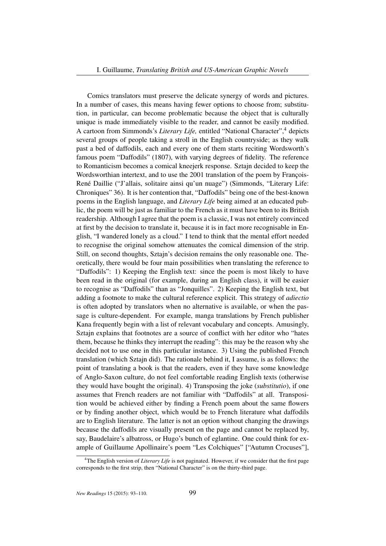Comics translators must preserve the delicate synergy of words and pictures. In a number of cases, this means having fewer options to choose from; substitution, in particular, can become problematic because the object that is culturally unique is made immediately visible to the reader, and cannot be easily modified. A cartoon from Simmonds's *Literary Life,* entitled "National Character",<sup>4</sup> depicts several groups of people taking a stroll in the English countryside; as they walk past a bed of daffodils, each and every one of them starts reciting Wordsworth's famous poem "Daffodils" (1807), with varying degrees of fidelity. The reference to Romanticism becomes a comical kneejerk response. Sztajn decided to keep the Wordsworthian intertext, and to use the 2001 translation of the poem by François-René Daillie ("J'allais, solitaire ainsi qu'un nuage") (Simmonds, "Literary Life: Chroniques" 36). It is her contention that, "Daffodils" being one of the best-known poems in the English language, and *Literary Life* being aimed at an educated public, the poem will be just as familiar to the French as it must have been to its British readership. Although I agree that the poem is a classic, I was not entirely convinced at first by the decision to translate it, because it is in fact more recognisable in English, "I wandered lonely as a cloud." I tend to think that the mental effort needed to recognise the original somehow attenuates the comical dimension of the strip. Still, on second thoughts, Sztajn's decision remains the only reasonable one. Theoretically, there would be four main possibilities when translating the reference to "Daffodils": 1) Keeping the English text: since the poem is most likely to have been read in the original (for example, during an English class), it will be easier to recognise as "Daffodils" than as "Jonquilles". 2) Keeping the English text, but adding a footnote to make the cultural reference explicit. This strategy of *adiectio* is often adopted by translators when no alternative is available, or when the passage is culture-dependent. For example, manga translations by French publisher Kana frequently begin with a list of relevant vocabulary and concepts. Amusingly, Sztajn explains that footnotes are a source of conflict with her editor who "hates them, because he thinks they interrupt the reading": this may be the reason why she decided not to use one in this particular instance. 3) Using the published French translation (which Sztajn did). The rationale behind it, I assume, is as follows: the point of translating a book is that the readers, even if they have some knowledge of Anglo-Saxon culture, do not feel comfortable reading English texts (otherwise they would have bought the original). 4) Transposing the joke (*substitutio*), if one assumes that French readers are not familiar with "Daffodils" at all. Transposition would be achieved either by finding a French poem about the same flowers or by finding another object, which would be to French literature what daffodils are to English literature. The latter is not an option without changing the drawings because the daffodils are visually present on the page and cannot be replaced by, say, Baudelaire's albatross, or Hugo's bunch of eglantine. One could think for example of Guillaume Apollinaire's poem "Les Colchiques" ["Autumn Crocuses"],

<sup>4</sup>The English version of *Literary Life* is not paginated. However, if we consider that the first page corresponds to the first strip, then "National Character" is on the thirty-third page.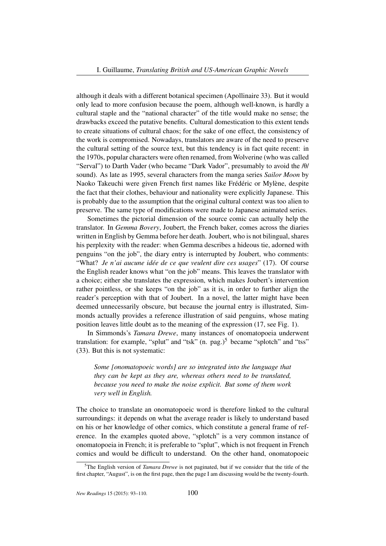although it deals with a different botanical specimen (Apollinaire 33). But it would only lead to more confusion because the poem, although well-known, is hardly a cultural staple and the "national character" of the title would make no sense; the drawbacks exceed the putative benefits. Cultural domestication to this extent tends to create situations of cultural chaos; for the sake of one effect, the consistency of the work is compromised. Nowadays, translators are aware of the need to preserve the cultural setting of the source text, but this tendency is in fact quite recent: in the 1970s, popular characters were often renamed, from Wolverine (who was called "Serval") to Darth Vader (who became "Dark Vador", presumably to avoid the  $/\theta$ / sound). As late as 1995, several characters from the manga series *Sailor Moon* by Naoko Takeuchi were given French first names like Frédéric or Mylène, despite the fact that their clothes, behaviour and nationality were explicitly Japanese. This is probably due to the assumption that the original cultural context was too alien to preserve. The same type of modifications were made to Japanese animated series.

Sometimes the pictorial dimension of the source comic can actually help the translator. In *Gemma Bovery*, Joubert, the French baker, comes across the diaries written in English by Gemma before her death. Joubert, who is not bilingual, shares his perplexity with the reader: when Gemma describes a hideous tie, adorned with penguins "on the job", the diary entry is interrupted by Joubert, who comments: "What? *Je n'ai aucune idée de ce que veulent dire ces usages*" (17). Of course the English reader knows what "on the job" means. This leaves the translator with a choice; either she translates the expression, which makes Joubert's intervention rather pointless, or she keeps "on the job" as it is, in order to further align the reader's perception with that of Joubert. In a novel, the latter might have been deemed unnecessarily obscure, but because the journal entry is illustrated, Simmonds actually provides a reference illustration of said penguins, whose mating position leaves little doubt as to the meaning of the expression (17, see Fig. 1).

In Simmonds's *Tamara Drewe*, many instances of onomatopoeia underwent translation: for example, "splut" and "tsk"  $(n.$  pag.)<sup>5</sup> became "splotch" and "tss" (33). But this is not systematic:

*Some [onomatopoeic words] are so integrated into the language that they can be kept as they are, whereas others need to be translated, because you need to make the noise explicit. But some of them work very well in English.*

The choice to translate an onomatopoeic word is therefore linked to the cultural surroundings: it depends on what the average reader is likely to understand based on his or her knowledge of other comics, which constitute a general frame of reference. In the examples quoted above, "splotch" is a very common instance of onomatopoeia in French; it is preferable to "splut", which is not frequent in French comics and would be difficult to understand. On the other hand, onomatopoeic

<sup>&</sup>lt;sup>5</sup>The English version of *Tamara Drewe* is not paginated, but if we consider that the title of the first chapter, "August", is on the first page, then the page I am discussing would be the twenty-fourth.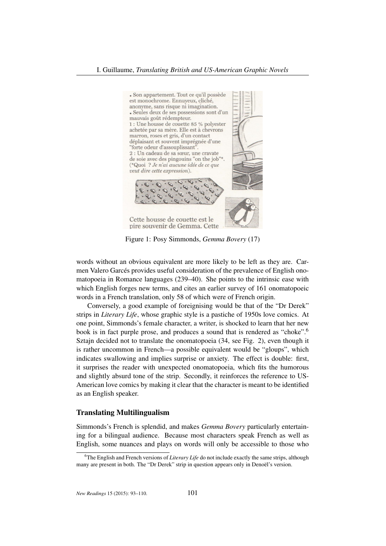

Figure 1: Posy Simmonds, *Gemma Bovery* (17)

words without an obvious equivalent are more likely to be left as they are. Carmen Valero Garcés provides useful consideration of the prevalence of English onomatopoeia in Romance languages (239–40). She points to the intrinsic ease with which English forges new terms, and cites an earlier survey of 161 onomatopoeic words in a French translation, only 58 of which were of French origin.

Conversely, a good example of foreignising would be that of the "Dr Derek" strips in *Literary Life*, whose graphic style is a pastiche of 1950s love comics. At one point, Simmonds's female character, a writer, is shocked to learn that her new book is in fact purple prose, and produces a sound that is rendered as "choke".<sup>6</sup> Sztajn decided not to translate the onomatopoeia (34, see Fig. 2), even though it is rather uncommon in French—a possible equivalent would be "gloups", which indicates swallowing and implies surprise or anxiety. The effect is double: first, it surprises the reader with unexpected onomatopoeia, which fits the humorous and slightly absurd tone of the strip. Secondly, it reinforces the reference to US-American love comics by making it clear that the character is meant to be identified as an English speaker.

### Translating Multilingualism

Simmonds's French is splendid, and makes *Gemma Bovery* particularly entertaining for a bilingual audience. Because most characters speak French as well as English, some nuances and plays on words will only be accessible to those who

<sup>&</sup>lt;sup>6</sup>The English and French versions of *Literary Life* do not include exactly the same strips, although many are present in both. The "Dr Derek" strip in question appears only in Denoël's version.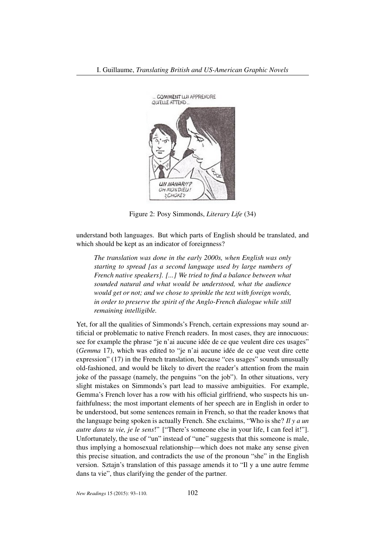

Figure 2: Posy Simmonds, *Literary Life* (34)

understand both languages. But which parts of English should be translated, and which should be kept as an indicator of foreignness?

*The translation was done in the early 2000s, when English was only starting to spread [as a second language used by large numbers of French native speakers]. [...] We tried to find a balance between what sounded natural and what would be understood, what the audience would get or not; and we chose to sprinkle the text with foreign words, in order to preserve the spirit of the Anglo-French dialogue while still remaining intelligible.*

Yet, for all the qualities of Simmonds's French, certain expressions may sound artificial or problematic to native French readers. In most cases, they are innocuous: see for example the phrase "je n'ai aucune idée de ce que veulent dire ces usages" (*Gemma* 17), which was edited to "je n'ai aucune idée de ce que veut dire cette expression" (17) in the French translation, because "ces usages" sounds unusually old-fashioned, and would be likely to divert the reader's attention from the main joke of the passage (namely, the penguins "on the job"). In other situations, very slight mistakes on Simmonds's part lead to massive ambiguities. For example, Gemma's French lover has a row with his official girlfriend, who suspects his unfaithfulness; the most important elements of her speech are in English in order to be understood, but some sentences remain in French, so that the reader knows that the language being spoken is actually French. She exclaims, "Who is she? *Il y a un autre dans ta vie, je le sens*!" ["There's someone else in your life, I can feel it!"]. Unfortunately, the use of "un" instead of "une" suggests that this someone is male, thus implying a homosexual relationship—which does not make any sense given this precise situation, and contradicts the use of the pronoun "she" in the English version. Sztajn's translation of this passage amends it to "Il y a une autre femme dans ta vie", thus clarifying the gender of the partner.

*New Readings* 15 (2015): 93–110. 102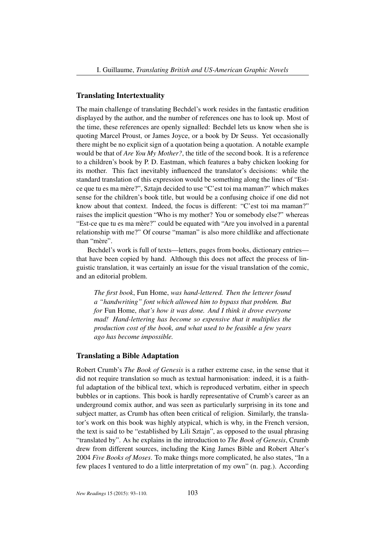# Translating Intertextuality

The main challenge of translating Bechdel's work resides in the fantastic erudition displayed by the author, and the number of references one has to look up. Most of the time, these references are openly signalled: Bechdel lets us know when she is quoting Marcel Proust, or James Joyce, or a book by Dr Seuss. Yet occasionally there might be no explicit sign of a quotation being a quotation. A notable example would be that of *Are You My Mother?*, the title of the second book. It is a reference to a children's book by P. D. Eastman, which features a baby chicken looking for its mother. This fact inevitably influenced the translator's decisions: while the standard translation of this expression would be something along the lines of "Estce que tu es ma mère?", Sztajn decided to use "C'est toi ma maman?" which makes sense for the children's book title, but would be a confusing choice if one did not know about that context. Indeed, the focus is different: "C'est toi ma maman?" raises the implicit question "Who is my mother? You or somebody else?" whereas "Est-ce que tu es ma mère?" could be equated with "Are you involved in a parental relationship with me?" Of course "maman" is also more childlike and affectionate than "mère".

Bechdel's work is full of texts—letters, pages from books, dictionary entries that have been copied by hand. Although this does not affect the process of linguistic translation, it was certainly an issue for the visual translation of the comic, and an editorial problem.

*The first book*, Fun Home, *was hand-lettered. Then the letterer found a "handwriting" font which allowed him to bypass that problem. But for* Fun Home, *that's how it was done. And I think it drove everyone mad! Hand-lettering has become so expensive that it multiplies the production cost of the book, and what used to be feasible a few years ago has become impossible.*

#### Translating a Bible Adaptation

Robert Crumb's *The Book of Genesis* is a rather extreme case, in the sense that it did not require translation so much as textual harmonisation: indeed, it is a faithful adaptation of the biblical text, which is reproduced verbatim, either in speech bubbles or in captions. This book is hardly representative of Crumb's career as an underground comix author, and was seen as particularly surprising in its tone and subject matter, as Crumb has often been critical of religion. Similarly, the translator's work on this book was highly atypical, which is why, in the French version, the text is said to be "established by Lili Sztajn", as opposed to the usual phrasing "translated by". As he explains in the introduction to *The Book of Genesis*, Crumb drew from different sources, including the King James Bible and Robert Alter's 2004 *Five Books of Moses*. To make things more complicated, he also states, "In a few places I ventured to do a little interpretation of my own" (n. pag.). According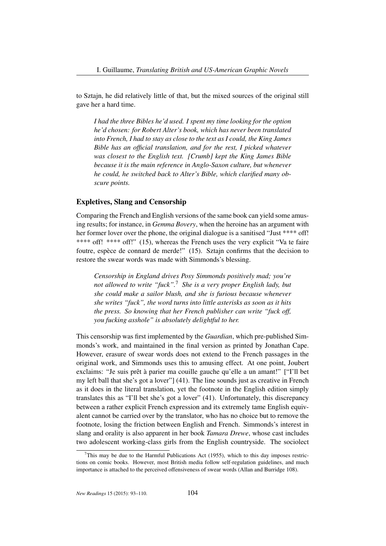to Sztajn, he did relatively little of that, but the mixed sources of the original still gave her a hard time.

*I had the three Bibles he'd used. I spent my time looking for the option he'd chosen: for Robert Alter's book, which has never been translated into French, I had to stay as close to the text as I could, the King James Bible has an official translation, and for the rest, I picked whatever was closest to the English text. [Crumb] kept the King James Bible because it is the main reference in Anglo-Saxon culture, but whenever he could, he switched back to Alter's Bible, which clarified many obscure points.*

# Expletives, Slang and Censorship

Comparing the French and English versions of the same book can yield some amusing results; for instance, in *Gemma Bovery*, when the heroine has an argument with her former lover over the phone, the original dialogue is a sanitised "Just \*\*\*\* off!" \*\*\*\* off! \*\*\*\* off!" (15), whereas the French uses the very explicit "Va te faire foutre, espèce de connard de merde!" (15). Sztajn confirms that the decision to restore the swear words was made with Simmonds's blessing.

*Censorship in England drives Posy Simmonds positively mad; you're not allowed to write "fuck".*<sup>7</sup> *She is a very proper English lady, but she could make a sailor blush, and she is furious because whenever she writes "fuck", the word turns into little asterisks as soon as it hits the press. So knowing that her French publisher can write "fuck off, you fucking asshole" is absolutely delightful to her.*

This censorship was first implemented by the *Guardian*, which pre-published Simmonds's work, and maintained in the final version as printed by Jonathan Cape. However, erasure of swear words does not extend to the French passages in the original work, and Simmonds uses this to amusing effect. At one point, Joubert exclaims: "Je suis prêt à parier ma couille gauche qu'elle a un amant!" ["I'll bet my left ball that she's got a lover"] (41). The line sounds just as creative in French as it does in the literal translation, yet the footnote in the English edition simply translates this as "I'll bet she's got a lover" (41). Unfortunately, this discrepancy between a rather explicit French expression and its extremely tame English equivalent cannot be carried over by the translator, who has no choice but to remove the footnote, losing the friction between English and French. Simmonds's interest in slang and orality is also apparent in her book *Tamara Drewe*, whose cast includes two adolescent working-class girls from the English countryside. The sociolect

This may be due to the Harmful Publications Act (1955), which to this day imposes restrictions on comic books. However, most British media follow self-regulation guidelines, and much importance is attached to the perceived offensiveness of swear words (Allan and Burridge 108).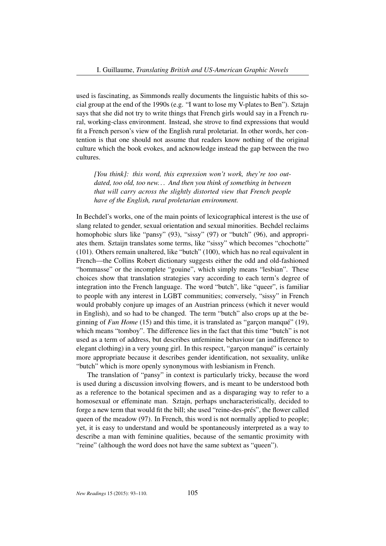used is fascinating, as Simmonds really documents the linguistic habits of this social group at the end of the 1990s (e.g. "I want to lose my V-plates to Ben"). Sztajn says that she did not try to write things that French girls would say in a French rural, working-class environment. Instead, she strove to find expressions that would fit a French person's view of the English rural proletariat. In other words, her contention is that one should not assume that readers know nothing of the original culture which the book evokes, and acknowledge instead the gap between the two cultures.

*[You think]: this word, this expression won't work, they're too outdated, too old, too new. . . And then you think of something in between that will carry across the slightly distorted view that French people have of the English, rural proletarian environment.*

In Bechdel's works, one of the main points of lexicographical interest is the use of slang related to gender, sexual orientation and sexual minorities. Bechdel reclaims homophobic slurs like "pansy" (93), "sissy" (97) or "butch" (96), and appropriates them. Sztaijn translates some terms, like "sissy" which becomes "chochotte" (101). Others remain unaltered, like "butch" (100), which has no real equivalent in French—the Collins Robert dictionary suggests either the odd and old-fashioned "hommasse" or the incomplete "gouine", which simply means "lesbian". These choices show that translation strategies vary according to each term's degree of integration into the French language. The word "butch", like "queer", is familiar to people with any interest in LGBT communities; conversely, "sissy" in French would probably conjure up images of an Austrian princess (which it never would in English), and so had to be changed. The term "butch" also crops up at the beginning of *Fun Home* (15) and this time, it is translated as "garçon manqué" (19), which means "tomboy". The difference lies in the fact that this time "butch" is not used as a term of address, but describes unfeminine behaviour (an indifference to elegant clothing) in a very young girl. In this respect, "garçon manqué" is certainly more appropriate because it describes gender identification, not sexuality, unlike "butch" which is more openly synonymous with lesbianism in French.

The translation of "pansy" in context is particularly tricky, because the word is used during a discussion involving flowers, and is meant to be understood both as a reference to the botanical specimen and as a disparaging way to refer to a homosexual or effeminate man. Sztajn, perhaps uncharacteristically, decided to forge a new term that would fit the bill; she used "reine-des-prés", the flower called queen of the meadow (97). In French, this word is not normally applied to people; yet, it is easy to understand and would be spontaneously interpreted as a way to describe a man with feminine qualities, because of the semantic proximity with "reine" (although the word does not have the same subtext as "queen").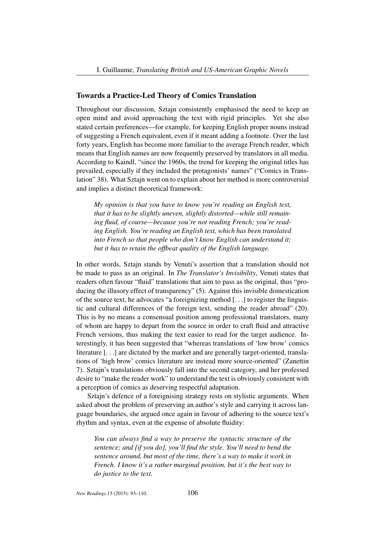## Towards a Practice-Led Theory of Comics Translation

Throughout our discussion, Sztajn consistently emphasised the need to keep an open mind and avoid approaching the text with rigid principles. Yet she also stated certain preferences—for example, for keeping English proper nouns instead of suggesting a French equivalent, even if it meant adding a footnote. Over the last forty years, English has become more familiar to the average French reader, which means that English names are now frequently preserved by translators in all media. According to Kaindl, "since the 1960s, the trend for keeping the original titles has prevailed, especially if they included the protagonists' names" ("Comics in Translation" 38). What Sztajn went on to explain about her method is more controversial and implies a distinct theoretical framework:

*My opinion is that you have to know you're reading an English text, that it has to be slightly uneven, slightly distorted—while still remaining fluid, of course—because you're not reading French; you're reading English. You're reading an English text, which has been translated into French so that people who don't know English can understand it; but it has to retain the offbeat quality of the English language.*

In other words, Sztajn stands by Venuti's assertion that a translation should not be made to pass as an original. In *The Translator's Invisibility*, Venuti states that readers often favour "fluid" translations that aim to pass as the original, thus "producing the illusory effect of transparency" (5). Against this invisible domestication of the source text, he advocates "a foreignizing method [. . .] to register the linguistic and cultural differences of the foreign text, sending the reader abroad" (20). This is by no means a consensual position among professional translators, many of whom are happy to depart from the source in order to craft fluid and attractive French versions, thus making the text easier to read for the target audience. Interestingly, it has been suggested that "whereas translations of 'low brow' comics literature [. . .] are dictated by the market and are generally target-oriented, translations of 'high brow' comics literature are instead more source-oriented" (Zanettin 7). Sztajn's translations obviously fall into the second category, and her professed desire to "make the reader work" to understand the text is obviously consistent with a perception of comics as deserving respectful adaptation.

Sztajn's defence of a foreignising strategy rests on stylistic arguments. When asked about the problem of preserving an author's style and carrying it across language boundaries, she argued once again in favour of adhering to the source text's rhythm and syntax, even at the expense of absolute fluidity:

*You can always find a way to preserve the syntactic structure of the sentence; and [if you do], you'll find the style. You'll need to bend the sentence around, but most of the time, there's a way to make it work in French. I know it's a rather marginal position, but it's the best way to do justice to the text.*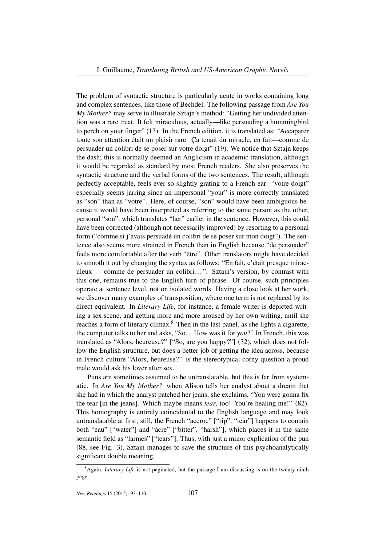The problem of syntactic structure is particularly acute in works containing long and complex sentences, like those of Bechdel. The following passage from *Are You My Mother?* may serve to illustrate Sztajn's method: "Getting her undivided attention was a rare treat. It felt miraculous, actually—like persuading a hummingbird to perch on your finger" (13). In the French edition, it is translated as: "Accaparer toute son attention était un plaisir rare. Ça tenait du miracle, en fait—comme de persuader un colibri de se poser sur votre doigt" (19). We notice that Sztajn keeps the dash; this is normally deemed an Anglicism in academic translation, although it would be regarded as standard by most French readers. She also preserves the syntactic structure and the verbal forms of the two sentences. The result, although perfectly acceptable, feels ever so slightly grating to a French ear: "votre doigt" especially seems jarring since an impersonal "your" is more correctly translated as "son" than as "votre". Here, of course, "son" would have been ambiguous because it would have been interpreted as referring to the same person as the other, personal "son", which translates "her" earlier in the sentence. However, this could have been corrected (although not necessarily improved) by resorting to a personal form ("comme si j'avais persuadé un colibri de se poser sur mon doigt"). The sentence also seems more strained in French than in English because "de persuader" feels more comfortable after the verb "être". Other translators might have decided to smooth it out by changing the syntax as follows: "En fait, c'était presque miraculeux — comme de persuader un colibri...". Sztajn's version, by contrast with this one, remains true to the English turn of phrase. Of course, such principles operate at sentence level, not on isolated words. Having a close look at her work, we discover many examples of transposition, where one term is not replaced by its direct equivalent. In *Literary Life*, for instance, a female writer is depicted writing a sex scene, and getting more and more aroused by her own writing, until she reaches a form of literary climax.<sup>8</sup> Then in the last panel, as she lights a cigarette, the computer talks to her and asks, "So. . . How was it for *you*?" In French, this was translated as "Alors, heureuse?" ["So, are you happy?"] (32), which does not follow the English structure, but does a better job of getting the idea across, because in French culture "Alors, heureuse?" is the stereotypical corny question a proud male would ask his lover after sex.

Puns are sometimes assumed to be untranslatable, but this is far from systematic. In *Are You My Mother?* when Alison tells her analyst about a dream that she had in which the analyst patched her jeans, she exclaims, "You were gonna fix the tear [in the jeans]. Which maybe means *tear*, too! You're healing me!" (82). This homography is entirely coincidental to the English language and may look untranslatable at first; still, the French "accroc" ["rip", "tear"] happens to contain both "eau" ["water"] and "âcre" ["bitter", "harsh"], which places it in the same semantic field as "larmes" ["tears"]. Thus, with just a minor explication of the pun (88, see Fig. 3), Sztajn manages to save the structure of this psychoanalytically significant double meaning.

<sup>&</sup>lt;sup>8</sup> Again, *Literary Life* is not paginated, but the passage I am discussing is on the twenty-ninth page.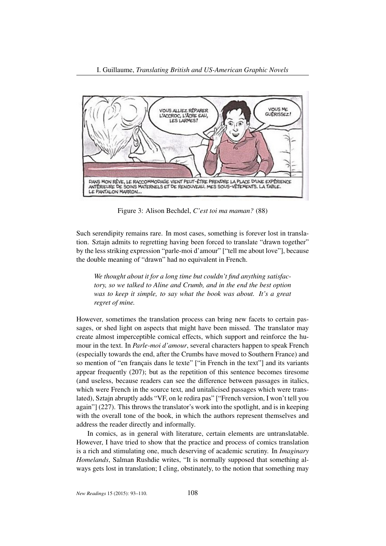

Figure 3: Alison Bechdel, *C'est toi ma maman?* (88)

Such serendipity remains rare. In most cases, something is forever lost in translation. Sztajn admits to regretting having been forced to translate "drawn together" by the less striking expression "parle-moi d'amour" ["tell me about love"], because the double meaning of "drawn" had no equivalent in French.

*We thought about it for a long time but couldn't find anything satisfactory, so we talked to Aline and Crumb, and in the end the best option was to keep it simple, to say what the book was about. It's a great regret of mine.*

However, sometimes the translation process can bring new facets to certain passages, or shed light on aspects that might have been missed. The translator may create almost imperceptible comical effects, which support and reinforce the humour in the text. In *Parle-moi d'amour*, several characters happen to speak French (especially towards the end, after the Crumbs have moved to Southern France) and so mention of "en français dans le texte" ["in French in the text"] and its variants appear frequently (207); but as the repetition of this sentence becomes tiresome (and useless, because readers can see the difference between passages in italics, which were French in the source text, and unitalicised passages which were translated), Sztajn abruptly adds "VF, on le redira pas" ["French version, I won't tell you again"] (227). This throws the translator's work into the spotlight, and is in keeping with the overall tone of the book, in which the authors represent themselves and address the reader directly and informally.

In comics, as in general with literature, certain elements are untranslatable. However, I have tried to show that the practice and process of comics translation is a rich and stimulating one, much deserving of academic scrutiny. In *Imaginary Homelands*, Salman Rushdie writes, "It is normally supposed that something always gets lost in translation; I cling, obstinately, to the notion that something may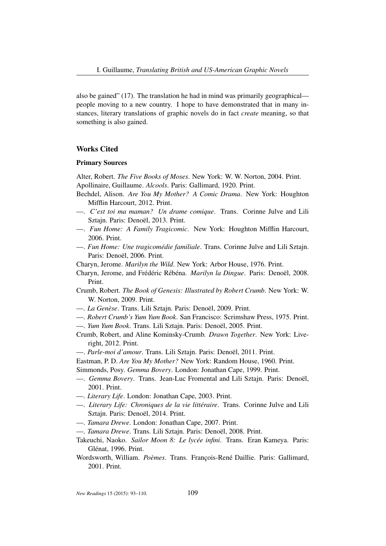also be gained" (17). The translation he had in mind was primarily geographical people moving to a new country. I hope to have demonstrated that in many instances, literary translations of graphic novels do in fact *create* meaning, so that something is also gained.

## Works Cited

#### Primary Sources

Alter, Robert. *The Five Books of Moses*. New York: W. W. Norton, 2004. Print. Apollinaire, Guillaume. *Alcools*. Paris: Gallimard, 1920. Print.

- Bechdel, Alison. *Are You My Mother? A Comic Drama*. New York: Houghton Mifflin Harcourt, 2012. Print.
- —. *C'est toi ma maman? Un drame comique*. Trans. Corinne Julve and Lili Sztajn. Paris: Denoël, 2013. Print.
- —. *Fun Home: A Family Tragicomic*. New York: Houghton Mifflin Harcourt, 2006. Print.
- —. *Fun Home: Une tragicomédie familiale*. Trans. Corinne Julve and Lili Sztajn. Paris: Denoël, 2006. Print.

Charyn, Jerome. *Marilyn the Wild*. New York: Arbor House, 1976. Print.

- Charyn, Jerome, and Frédéric Rébéna. *Marilyn la Dingue*. Paris: Denoël, 2008. Print.
- Crumb, Robert. *The Book of Genesis: Illustrated by Robert Crumb*. New York: W. W. Norton, 2009. Print.
- —. *La Genèse*. Trans. Lili Sztajn. Paris: Denoël, 2009. Print.
- —. *Robert Crumb's Yum Yum Book*. San Francisco: Scrimshaw Press, 1975. Print.
- —. *Yum Yum Book*. Trans. Lili Sztajn. Paris: Denoël, 2005. Print.
- Crumb, Robert, and Aline Kominsky-Crumb. *Drawn Together*. New York: Liveright, 2012. Print.
- —. *Parle-moi d'amour*. Trans. Lili Sztajn. Paris: Denoël, 2011. Print.
- Eastman, P. D. *Are You My Mother?* New York: Random House, 1960. Print.
- Simmonds, Posy. *Gemma Bovery*. London: Jonathan Cape, 1999. Print.
- —. *Gemma Bovery*. Trans. Jean-Luc Fromental and Lili Sztajn. Paris: Denoël, 2001. Print.
- —. *Literary Life*. London: Jonathan Cape, 2003. Print.
- —. *Literary Life: Chroniques de la vie littéraire*. Trans. Corinne Julve and Lili Sztajn. Paris: Denoël, 2014. Print.
- —. *Tamara Drewe*. London: Jonathan Cape, 2007. Print.
- —. *Tamara Drewe*. Trans. Lili Sztajn. Paris: Denoël, 2008. Print.
- Takeuchi, Naoko. *Sailor Moon 8: Le lycée infini*. Trans. Eran Kameya. Paris: Glénat, 1996. Print.
- Wordsworth, William. *Poèmes*. Trans. François-René Daillie. Paris: Gallimard, 2001. Print.